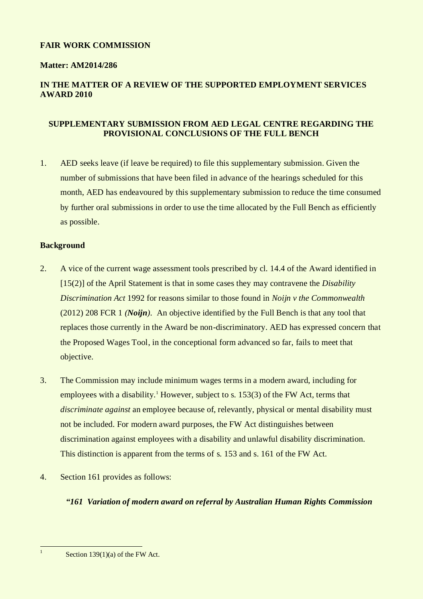### **FAIR WORK COMMISSION**

### **Matter: AM2014/286**

# **IN THE MATTER OF A REVIEW OF THE SUPPORTED EMPLOYMENT SERVICES AWARD 2010**

### **SUPPLEMENTARY SUBMISSION FROM AED LEGAL CENTRE REGARDING THE PROVISIONAL CONCLUSIONS OF THE FULL BENCH**

1. AED seeks leave (if leave be required) to file this supplementary submission. Given the number of submissions that have been filed in advance of the hearings scheduled for this month, AED has endeavoured by this supplementary submission to reduce the time consumed by further oral submissions in order to use the time allocated by the Full Bench as efficiently as possible.

#### **Background**

- 2. A vice of the current wage assessment tools prescribed by cl. 14.4 of the Award identified in [15(2)] of the April Statement is that in some cases they may contravene the *Disability Discrimination Act* 1992 for reasons similar to those found in *Noijn v the Commonwealth*  (2012) 208 FCR 1 *(Noijn)*. An objective identified by the Full Bench is that any tool that replaces those currently in the Award be non-discriminatory. AED has expressed concern that the Proposed Wages Tool, in the conceptional form advanced so far, fails to meet that objective.
- 3. The Commission may include minimum wages terms in a modern award, including for employees with a disability.<sup>1</sup> However, subject to s. 153(3) of the FW Act, terms that *discriminate against* an employee because of, relevantly, physical or mental disability must not be included. For modern award purposes, the FW Act distinguishes between discrimination against employees with a disability and unlawful disability discrimination. This distinction is apparent from the terms of s. 153 and s. 161 of the FW Act.
- 4. Section 161 provides as follows:

## *"161 Variation of modern award on referral by Australian Human Rights Commission*

Section 139(1)(a) of the FW Act.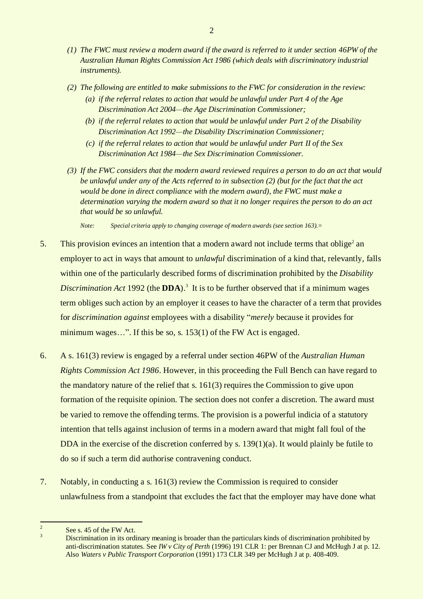- *(1) The FWC must review a modern award if the award is referred to it under section 46PW of the Australian Human Rights Commission Act 1986 (which deals with discriminatory industrial instruments).*
- *(2) The following are entitled to make submissions to the FWC for consideration in the review:*
	- *(a) if the referral relates to action that would be unlawful under Part 4 of the Age Discrimination Act 2004—the Age Discrimination Commissioner;*
	- *(b) if the referral relates to action that would be unlawful under Part 2 of the Disability Discrimination Act 1992—the Disability Discrimination Commissioner;*
	- *(c) if the referral relates to action that would be unlawful under Part II of the Sex Discrimination Act 1984—the Sex Discrimination Commissioner.*
- *(3) If the FWC considers that the modern award reviewed requires a person to do an act that would be unlawful under any of the Acts referred to in subsection (2) (but for the fact that the act would be done in direct compliance with the modern award), the FWC must make a determination varying the modern award so that it no longer requires the person to do an act that would be so unlawful.*

*Note: Special criteria apply to changing coverage of modern awards (see section 163).*=

- 5. This provision evinces an intention that a modern award not include terms that oblige<sup>2</sup> an employer to act in ways that amount to *unlawful* discrimination of a kind that, relevantly, falls within one of the particularly described forms of discrimination prohibited by the *Disability Discrimination Act* 1992 (the **DDA**). 3 It is to be further observed that if a minimum wages term obliges such action by an employer it ceases to have the character of a term that provides for *discrimination against* employees with a disability "*merely* because it provides for minimum wages...". If this be so, s. 153(1) of the FW Act is engaged.
- 6. A s. 161(3) review is engaged by a referral under section 46PW of the *Australian Human Rights Commission Act 1986*. However, in this proceeding the Full Bench can have regard to the mandatory nature of the relief that s. 161(3) requires the Commission to give upon formation of the requisite opinion. The section does not confer a discretion. The award must be varied to remove the offending terms. The provision is a powerful indicia of a statutory intention that tells against inclusion of terms in a modern award that might fall foul of the DDA in the exercise of the discretion conferred by s.  $139(1)(a)$ . It would plainly be futile to do so if such a term did authorise contravening conduct.
- 7. Notably, in conducting a s. 161(3) review the Commission is required to consider unlawfulness from a standpoint that excludes the fact that the employer may have done what

 $\frac{1}{2}$ See s. 45 of the FW Act.

<sup>&</sup>lt;sup>3</sup> Discrimination in its ordinary meaning is broader than the particulars kinds of discrimination prohibited by anti-discrimination statutes. See *IW v City of Perth* (1996) 191 CLR 1: per Brennan CJ and McHugh J at p. 12. Also *Waters v Public Transport Corporation* (1991) 173 CLR 349 per McHugh J at p. 408-409.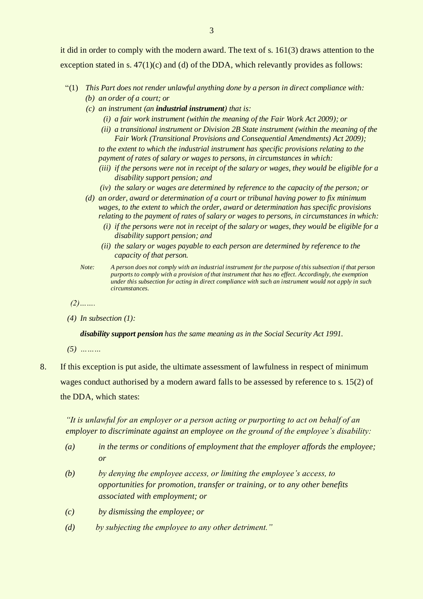it did in order to comply with the modern award. The text of s. 161(3) draws attention to the exception stated in s. 47(1)(c) and (d) of the DDA, which relevantly provides as follows:

- "(1) *This Part does not render unlawful anything done by a person in direct compliance with: (b) an order of a court; or*
	- *(c) an instrument (an industrial instrument) that is:*
		- *(i) a fair work instrument (within the meaning of the Fair Work Act 2009); or*
		- *(ii) a transitional instrument or Division 2B State instrument (within the meaning of the Fair Work (Transitional Provisions and Consequential Amendments) Act 2009); to the extent to which the industrial instrument has specific provisions relating to the*

*payment of rates of salary or wages to persons, in circumstances in which:*

- *(iii) if the persons were not in receipt of the salary or wages, they would be eligible for a disability support pension; and*
- *(iv) the salary or wages are determined by reference to the capacity of the person; or*
- *(d) an order, award or determination of a court or tribunal having power to fix minimum wages, to the extent to which the order, award or determination has specific provisions relating to the payment of rates of salary or wages to persons, in circumstances in which:*
	- *(i) if the persons were not in receipt of the salary or wages, they would be eligible for a disability support pension; and*
	- *(ii) the salary or wages payable to each person are determined by reference to the capacity of that person.*
- *Note: A person does not comply with an industrial instrument for the purpose of this subsection if that person purports to comply with a provision of that instrument that has no effect. Accordingly, the exemption under this subsection for acting in direct compliance with such an instrument would not apply in such circumstances.*

*(2)…….*

*(4) In subsection (1):*

*disability support pension has the same meaning as in the Social Security Act 1991.*

*(5) ………*

8. If this exception is put aside, the ultimate assessment of lawfulness in respect of minimum wages conduct authorised by a modern award falls to be assessed by reference to s. 15(2) of the DDA, which states:

*"It is unlawful for an employer or a person acting or purporting to act on behalf of an employer to discriminate against an employee on the ground of the employee's disability:*

- *(a) in the terms or conditions of employment that the employer affords the employee; or*
- *(b) by denying the employee access, or limiting the employee's access, to opportunities for promotion, transfer or training, or to any other benefits associated with employment; or*
- *(c) by dismissing the employee; or*
- *(d) by subjecting the employee to any other detriment."*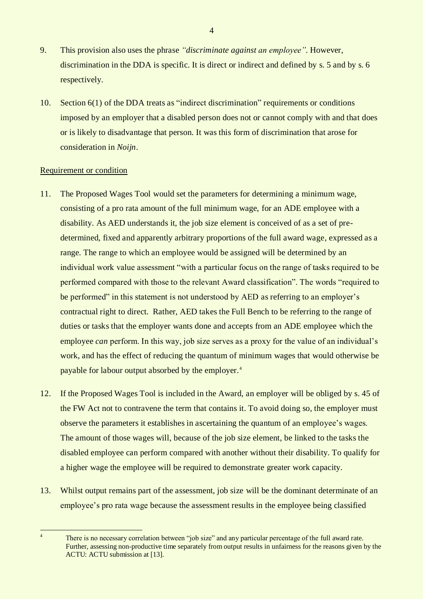- 9. This provision also uses the phrase *"discriminate against an employee".* However, discrimination in the DDA is specific. It is direct or indirect and defined by s. 5 and by s. 6 respectively.
- 10. Section 6(1) of the DDA treats as "indirect discrimination" requirements or conditions imposed by an employer that a disabled person does not or cannot comply with and that does or is likely to disadvantage that person. It was this form of discrimination that arose for consideration in *Noijn*.

#### Requirement or condition

 $\frac{1}{4}$ 

- 11. The Proposed Wages Tool would set the parameters for determining a minimum wage, consisting of a pro rata amount of the full minimum wage, for an ADE employee with a disability. As AED understands it, the job size element is conceived of as a set of predetermined, fixed and apparently arbitrary proportions of the full award wage, expressed as a range. The range to which an employee would be assigned will be determined by an individual work value assessment "with a particular focus on the range of tasks required to be performed compared with those to the relevant Award classification". The words "required to be performed" in this statement is not understood by AED as referring to an employer's contractual right to direct. Rather, AED takes the Full Bench to be referring to the range of duties or tasks that the employer wants done and accepts from an ADE employee which the employee *can* perform. In this way, job size serves as a proxy for the value of an individual's work, and has the effect of reducing the quantum of minimum wages that would otherwise be payable for labour output absorbed by the employer.<sup>4</sup>
- 12. If the Proposed Wages Tool is included in the Award, an employer will be obliged by s. 45 of the FW Act not to contravene the term that contains it. To avoid doing so, the employer must observe the parameters it establishes in ascertaining the quantum of an employee's wages. The amount of those wages will, because of the job size element, be linked to the tasks the disabled employee can perform compared with another without their disability. To qualify for a higher wage the employee will be required to demonstrate greater work capacity.
- 13. Whilst output remains part of the assessment, job size will be the dominant determinate of an employee's pro rata wage because the assessment results in the employee being classified

4

There is no necessary correlation between "job size" and any particular percentage of the full award rate. Further, assessing non-productive time separately from output results in unfairness for the reasons given by the ACTU: ACTU submission at [13].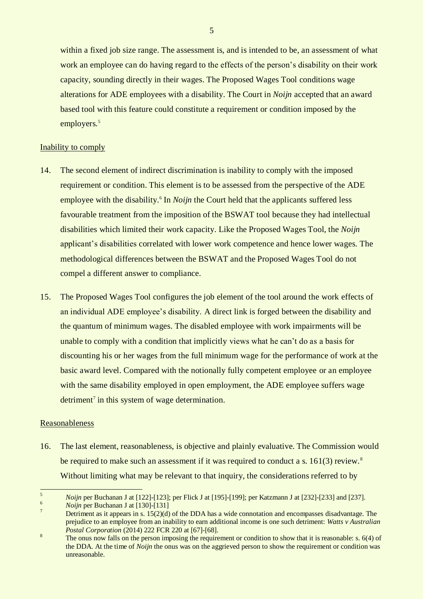within a fixed job size range. The assessment is, and is intended to be, an assessment of what work an employee can do having regard to the effects of the person's disability on their work capacity, sounding directly in their wages. The Proposed Wages Tool conditions wage alterations for ADE employees with a disability. The Court in *Noijn* accepted that an award based tool with this feature could constitute a requirement or condition imposed by the employers.<sup>5</sup>

#### Inability to comply

- 14. The second element of indirect discrimination is inability to comply with the imposed requirement or condition. This element is to be assessed from the perspective of the ADE employee with the disability.<sup>6</sup> In *Noijn* the Court held that the applicants suffered less favourable treatment from the imposition of the BSWAT tool because they had intellectual disabilities which limited their work capacity. Like the Proposed Wages Tool, the *Noijn* applicant's disabilities correlated with lower work competence and hence lower wages. The methodological differences between the BSWAT and the Proposed Wages Tool do not compel a different answer to compliance.
- 15. The Proposed Wages Tool configures the job element of the tool around the work effects of an individual ADE employee's disability. A direct link is forged between the disability and the quantum of minimum wages. The disabled employee with work impairments will be unable to comply with a condition that implicitly views what he can't do as a basis for discounting his or her wages from the full minimum wage for the performance of work at the basic award level. Compared with the notionally fully competent employee or an employee with the same disability employed in open employment, the ADE employee suffers wage detriment<sup>7</sup> in this system of wage determination.

#### Reasonableness

16. The last element, reasonableness, is objective and plainly evaluative. The Commission would be required to make such an assessment if it was required to conduct a s. 161(3) review.<sup>8</sup> Without limiting what may be relevant to that inquiry, the considerations referred to by

5

 $\sqrt{5}$ <sup>5</sup> *Noijn* per Buchanan J at [122]-[123]; per Flick J at [195]-[199]; per Katzmann J at [232]-[233] and [237].

 $\frac{6}{7}$  *Noijn* per Buchanan J at [130]-[131]

Detriment as it appears in s.  $15(2)(d)$  of the DDA has a wide connotation and encompasses disadvantage. The prejudice to an employee from an inability to earn additional income is one such detriment: *Watts v Australian Postal Corporation* (2014) 222 FCR 220 at [67]-[68].

<sup>8</sup> The onus now falls on the person imposing the requirement or condition to show that it is reasonable: s. 6(4) of the DDA. At the time of *Noijn* the onus was on the aggrieved person to show the requirement or condition was unreasonable.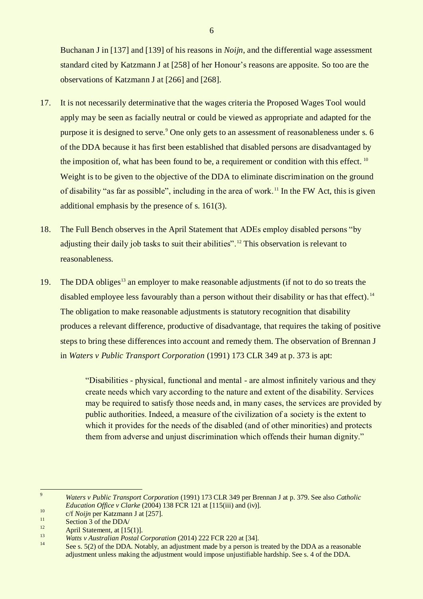Buchanan J in [137] and [139] of his reasons in *Noijn*, and the differential wage assessment standard cited by Katzmann J at [258] of her Honour's reasons are apposite. So too are the observations of Katzmann J at [266] and [268].

- 17. It is not necessarily determinative that the wages criteria the Proposed Wages Tool would apply may be seen as facially neutral or could be viewed as appropriate and adapted for the purpose it is designed to serve.<sup>9</sup> One only gets to an assessment of reasonableness under s. 6 of the DDA because it has first been established that disabled persons are disadvantaged by the imposition of, what has been found to be, a requirement or condition with this effect.<sup>10</sup> Weight is to be given to the objective of the DDA to eliminate discrimination on the ground of disability "as far as possible", including in the area of work. <sup>11</sup> In the FW Act, this is given additional emphasis by the presence of s. 161(3).
- 18. The Full Bench observes in the April Statement that ADEs employ disabled persons "by adjusting their daily job tasks to suit their abilities".<sup>12</sup> This observation is relevant to reasonableness.
- 19. The DDA obliges<sup>13</sup> an employer to make reasonable adjustments (if not to do so treats the disabled employee less favourably than a person without their disability or has that effect).<sup>14</sup> The obligation to make reasonable adjustments is statutory recognition that disability produces a relevant difference, productive of disadvantage, that requires the taking of positive steps to bring these differences into account and remedy them. The observation of Brennan J in *Waters v Public Transport Corporation* (1991) 173 CLR 349 at p. 373 is apt:

"Disabilities - physical, functional and mental - are almost infinitely various and they create needs which vary according to the nature and extent of the disability. Services may be required to satisfy those needs and, in many cases, the services are provided by public authorities. Indeed, a measure of the civilization of a society is the extent to which it provides for the needs of the disabled (and of other minorities) and protects them from adverse and unjust discrimination which offends their human dignity."

 $\overline{9}$ <sup>9</sup> *Waters v Public Transport Corporation* (1991) 173 CLR 349 per Brennan J at p. 379. See also *Catholic Education Office v Clarke* (2004) 138 FCR 121 at [115(iii) and (iv)].

<sup>10</sup> c/f *Noijn* per Katzmann J at [257].

 $\frac{11}{12}$  Section 3 of the DDA/

<sup>&</sup>lt;sup>12</sup> April Statement, at [15(1)].

<sup>13</sup> *Watts v Australian Postal Corporation* (2014) 222 FCR 220 at [34].

See s. 5(2) of the DDA. Notably, an adjustment made by a person is treated by the DDA as a reasonable adjustment unless making the adjustment would impose unjustifiable hardship. See s. 4 of the DDA.